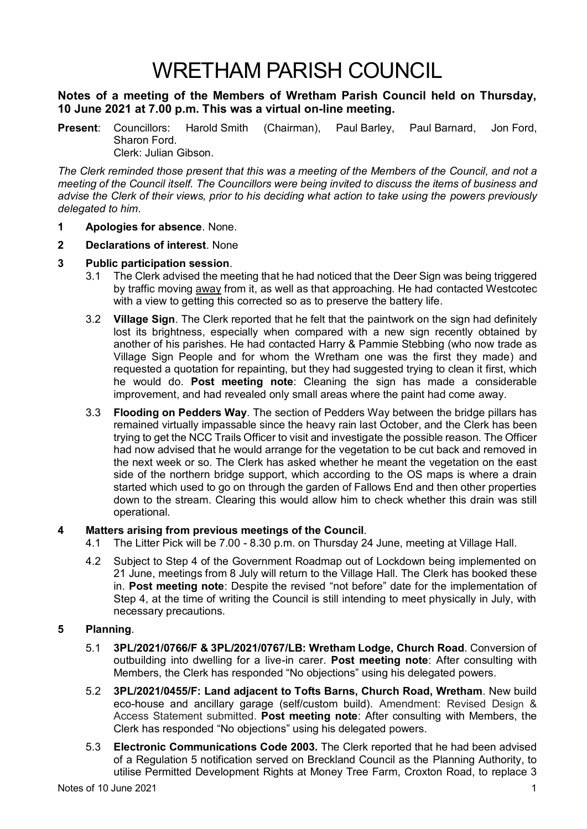# WRETHAM PARISH COUNCIL

## **Notes of a meeting of the Members of Wretham Parish Council held on Thursday, 10 June 2021 at 7.00 p.m. This was a virtual on-line meeting.**

**Present**: Councillors: Harold Smith (Chairman), Paul Barley, Paul Barnard, Jon Ford, Sharon Ford. Clerk: Julian Gibson.

*The Clerk reminded those present that this was a meeting of the Members of the Council, and not a meeting of the Council itself. The Councillors were being invited to discuss the items of business and advise the Clerk of their views, prior to his deciding what action to take using the powers previously delegated to him*.

- **1 Apologies for absence**. None.
- **2 Declarations of interest**. None
- **3 Public participation session**.
	- 3.1 The Clerk advised the meeting that he had noticed that the Deer Sign was being triggered by traffic moving away from it, as well as that approaching. He had contacted Westcotec with a view to getting this corrected so as to preserve the battery life.
	- 3.2 **Village Sign**. The Clerk reported that he felt that the paintwork on the sign had definitely lost its brightness, especially when compared with a new sign recently obtained by another of his parishes. He had contacted Harry & Pammie Stebbing (who now trade as Village Sign People and for whom the Wretham one was the first they made) and requested a quotation for repainting, but they had suggested trying to clean it first, which he would do. **Post meeting note**: Cleaning the sign has made a considerable improvement, and had revealed only small areas where the paint had come away.
	- 3.3 **Flooding on Pedders Way**. The section of Pedders Way between the bridge pillars has remained virtually impassable since the heavy rain last October, and the Clerk has been trying to get the NCC Trails Officer to visit and investigate the possible reason. The Officer had now advised that he would arrange for the vegetation to be cut back and removed in the next week or so. The Clerk has asked whether he meant the vegetation on the east side of the northern bridge support, which according to the OS maps is where a drain started which used to go on through the garden of Fallows End and then other properties down to the stream. Clearing this would allow him to check whether this drain was still operational.

### **4 Matters arising from previous meetings of the Council**.

- 4.1 The Litter Pick will be 7.00 8.30 p.m. on Thursday 24 June, meeting at Village Hall.
- 4.2 Subject to Step 4 of the Government Roadmap out of Lockdown being implemented on 21 June, meetings from 8 July will return to the Village Hall. The Clerk has booked these in. **Post meeting note**: Despite the revised "not before" date for the implementation of Step 4, at the time of writing the Council is still intending to meet physically in July, with necessary precautions.

## **5 Planning**.

- 5.1 **3PL/2021/0766/F & 3PL/2021/0767/LB: Wretham Lodge, Church Road**. Conversion of outbuilding into dwelling for a live-in carer. **Post meeting note**: After consulting with Members, the Clerk has responded "No objections" using his delegated powers.
- 5.2 **3PL/2021/0455/F: Land adjacent to Tofts Barns, Church Road, Wretham**. New build eco-house and ancillary garage (self/custom build). Amendment: Revised Design & Access Statement submitted. **Post meeting note**: After consulting with Members, the Clerk has responded "No objections" using his delegated powers.
- 5.3 **Electronic Communications Code 2003.** The Clerk reported that he had been advised of a Regulation 5 notification served on Breckland Council as the Planning Authority, to utilise Permitted Development Rights at Money Tree Farm, Croxton Road, to replace 3